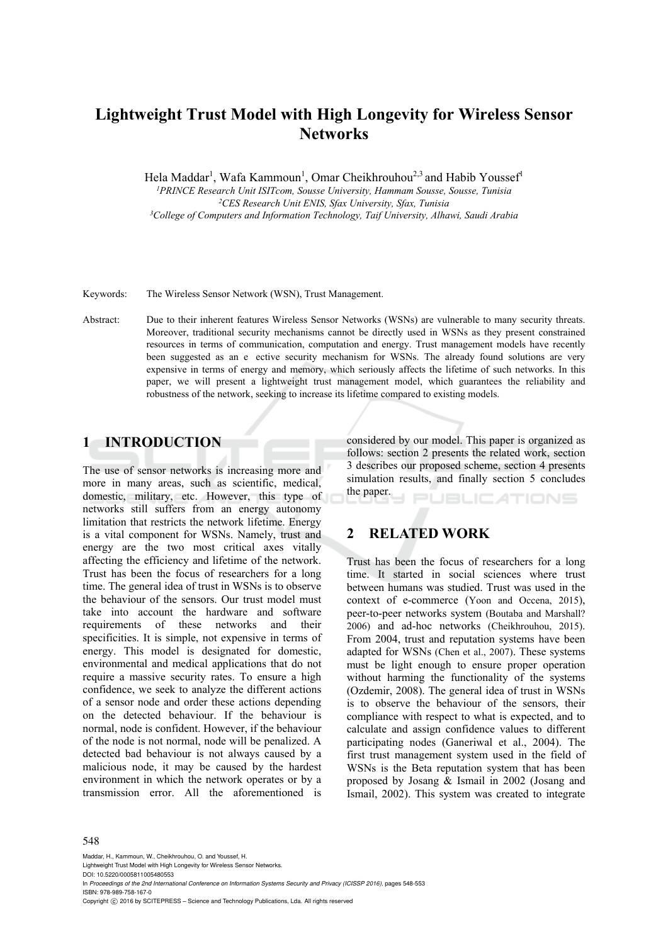# **Lightweight Trust Model with High Longevity for Wireless Sensor Networks**

Hela Maddar<sup>1</sup>, Wafa Kammoun<sup>1</sup>, Omar Cheikhrouhou<sup>2,3</sup> and Habib Youssef<sup>1</sup>

<sup>1</sup>PRINCE Research Unit ISITcom, Sousse University, Hammam Sousse, Sousse, Tunisia<br><sup>2</sup>CES Research Unit ENIS, Sfax University, Sfax, Tunisia<br><sup>3</sup>College of Computers and Information Technology, Taif University, Alhawi, Sau

Keywords: The Wireless Sensor Network (WSN), Trust Management.

Abstract: Due to their inherent features Wireless Sensor Networks (WSNs) are vulnerable to many security threats. Moreover, traditional security mechanisms cannot be directly used in WSNs as they present constrained resources in terms of communication, computation and energy. Trust management models have recently been suggested as an e ective security mechanism for WSNs. The already found solutions are very expensive in terms of energy and memory, which seriously affects the lifetime of such networks. In this paper, we will present a lightweight trust management model, which guarantees the reliability and robustness of the network, seeking to increase its lifetime compared to existing models.

# **1 INTRODUCTION**

The use of sensor networks is increasing more and more in many areas, such as scientific, medical, domestic, military, etc. However, this type of networks still suffers from an energy autonomy limitation that restricts the network lifetime. Energy is a vital component for WSNs. Namely, trust and energy are the two most critical axes vitally affecting the efficiency and lifetime of the network. Trust has been the focus of researchers for a long time. The general idea of trust in WSNs is to observe the behaviour of the sensors. Our trust model must take into account the hardware and software requirements of these networks and their specificities. It is simple, not expensive in terms of energy. This model is designated for domestic, environmental and medical applications that do not require a massive security rates. To ensure a high confidence, we seek to analyze the different actions of a sensor node and order these actions depending on the detected behaviour. If the behaviour is normal, node is confident. However, if the behaviour of the node is not normal, node will be penalized. A detected bad behaviour is not always caused by a malicious node, it may be caused by the hardest environment in which the network operates or by a transmission error. All the aforementioned is

considered by our model. This paper is organized as follows: section 2 presents the related work, section 3 describes our proposed scheme, section 4 presents simulation results, and finally section 5 concludes the paper. **JBLIC ATIONS** 

# **2 RELATED WORK**

Trust has been the focus of researchers for a long time. It started in social sciences where trust between humans was studied. Trust was used in the context of e-commerce (Yoon and Occena, 2015), peer-to-peer networks system (Boutaba and Marshall? 2006) and ad-hoc networks (Cheikhrouhou, 2015). From 2004, trust and reputation systems have been adapted for WSNs (Chen et al., 2007). These systems must be light enough to ensure proper operation without harming the functionality of the systems (Ozdemir, 2008). The general idea of trust in WSNs is to observe the behaviour of the sensors, their compliance with respect to what is expected, and to calculate and assign confidence values to different participating nodes (Ganeriwal et al., 2004). The first trust management system used in the field of WSNs is the Beta reputation system that has been proposed by Josang & Ismail in 2002 (Josang and Ismail, 2002). This system was created to integrate

#### 548

Maddar, H., Kammoun, W., Cheikhrouhou, O. and Youssef, H. Lightweight Trust Model with High Longevity for Wireless Sensor Networks. DOI: 10.5220/0005811005480553 In *Proceedings of the 2nd International Conference on Information Systems Security and Privacy (ICISSP 2016)*, pages 548-553 ISBN: 978-989-758-167-0 Copyright  $\odot$  2016 by SCITEPRESS - Science and Technology Publications, Lda. All rights reserved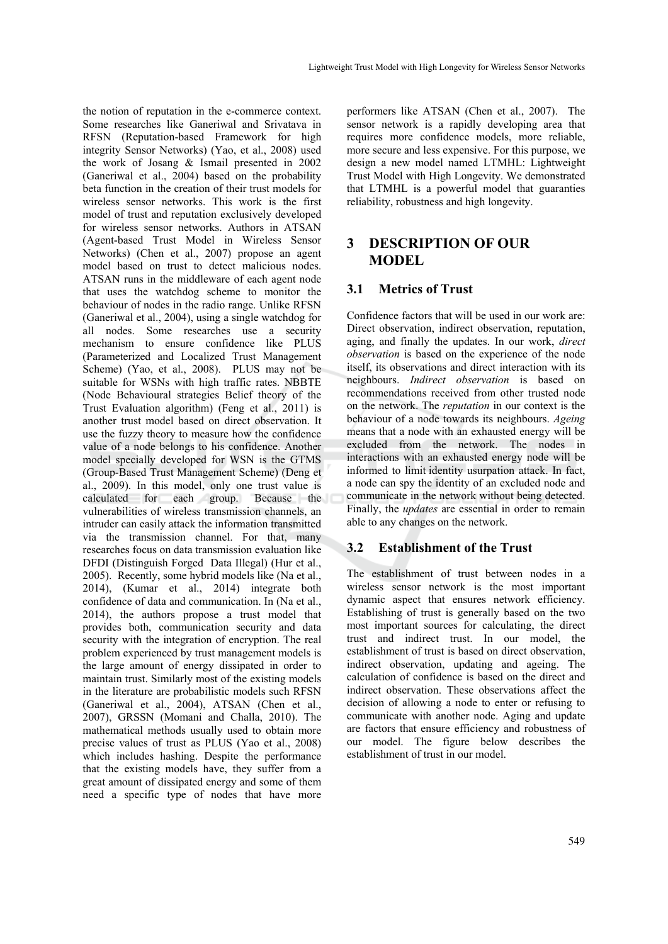the notion of reputation in the e-commerce context. Some researches like Ganeriwal and Srivatava in RFSN (Reputation-based Framework for high integrity Sensor Networks) (Yao, et al., 2008) used the work of Josang & Ismail presented in 2002 (Ganeriwal et al., 2004) based on the probability beta function in the creation of their trust models for wireless sensor networks. This work is the first model of trust and reputation exclusively developed for wireless sensor networks. Authors in ATSAN (Agent-based Trust Model in Wireless Sensor Networks) (Chen et al., 2007) propose an agent model based on trust to detect malicious nodes. ATSAN runs in the middleware of each agent node that uses the watchdog scheme to monitor the behaviour of nodes in the radio range. Unlike RFSN (Ganeriwal et al., 2004), using a single watchdog for all nodes. Some researches use a security mechanism to ensure confidence like PLUS (Parameterized and Localized Trust Management Scheme) (Yao, et al., 2008). PLUS may not be suitable for WSNs with high traffic rates. NBBTE (Node Behavioural strategies Belief theory of the Trust Evaluation algorithm) (Feng et al., 2011) is another trust model based on direct observation. It use the fuzzy theory to measure how the confidence value of a node belongs to his confidence. Another model specially developed for WSN is the GTMS (Group-Based Trust Management Scheme) (Deng et al., 2009). In this model, only one trust value is calculated for each group. Because the each group. Because the vulnerabilities of wireless transmission channels, an intruder can easily attack the information transmitted via the transmission channel. For that, many researches focus on data transmission evaluation like DFDI (Distinguish Forged Data Illegal) (Hur et al., 2005). Recently, some hybrid models like (Na et al., 2014), (Kumar et al., 2014) integrate both confidence of data and communication. In (Na et al., 2014), the authors propose a trust model that provides both, communication security and data security with the integration of encryption. The real problem experienced by trust management models is the large amount of energy dissipated in order to maintain trust. Similarly most of the existing models in the literature are probabilistic models such RFSN (Ganeriwal et al., 2004), ATSAN (Chen et al., 2007), GRSSN (Momani and Challa, 2010). The mathematical methods usually used to obtain more precise values of trust as PLUS (Yao et al., 2008) which includes hashing. Despite the performance that the existing models have, they suffer from a great amount of dissipated energy and some of them need a specific type of nodes that have more

performers like ATSAN (Chen et al., 2007). The sensor network is a rapidly developing area that requires more confidence models, more reliable, more secure and less expensive. For this purpose, we design a new model named LTMHL: Lightweight Trust Model with High Longevity. We demonstrated that LTMHL is a powerful model that guaranties reliability, robustness and high longevity.

# **3 DESCRIPTION OF OUR MODEL**

## **3.1 Metrics of Trust**

Confidence factors that will be used in our work are: Direct observation, indirect observation, reputation, aging, and finally the updates. In our work, *direct observation* is based on the experience of the node itself, its observations and direct interaction with its neighbours. *Indirect observation* is based on recommendations received from other trusted node on the network. The *reputation* in our context is the behaviour of a node towards its neighbours. *Ageing* means that a node with an exhausted energy will be excluded from the network. The nodes in interactions with an exhausted energy node will be informed to limit identity usurpation attack. In fact, a node can spy the identity of an excluded node and communicate in the network without being detected. Finally, the *updates* are essential in order to remain able to any changes on the network.

# **3.2 Establishment of the Trust**

The establishment of trust between nodes in a wireless sensor network is the most important dynamic aspect that ensures network efficiency. Establishing of trust is generally based on the two most important sources for calculating, the direct trust and indirect trust. In our model, the establishment of trust is based on direct observation, indirect observation, updating and ageing. The calculation of confidence is based on the direct and indirect observation. These observations affect the decision of allowing a node to enter or refusing to communicate with another node. Aging and update are factors that ensure efficiency and robustness of our model. The figure below describes the establishment of trust in our model.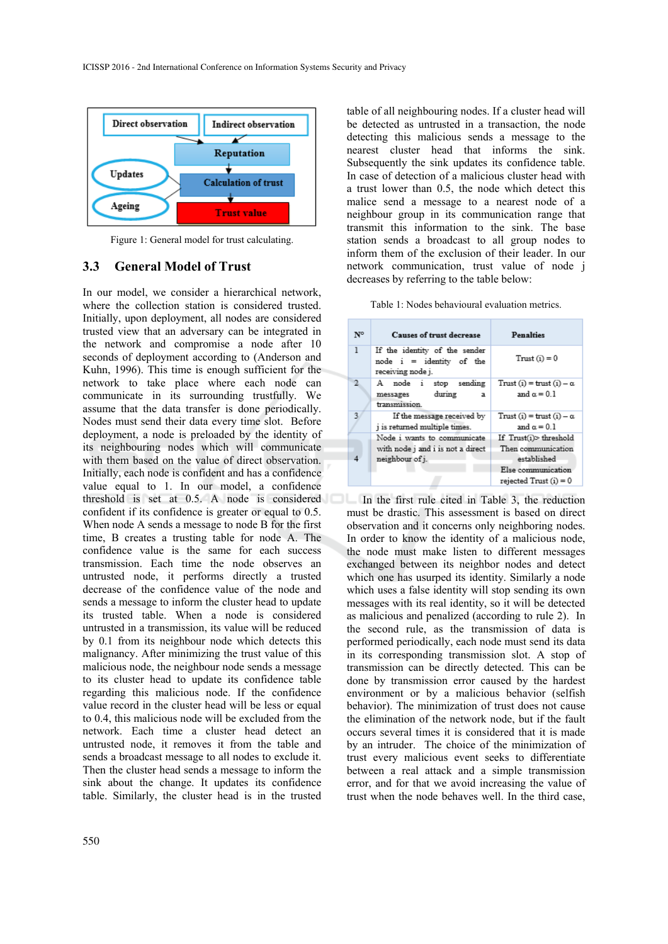

Figure 1: General model for trust calculating.

#### **3.3 General Model of Trust**

In our model, we consider a hierarchical network, where the collection station is considered trusted. Initially, upon deployment, all nodes are considered trusted view that an adversary can be integrated in the network and compromise a node after 10 seconds of deployment according to (Anderson and Kuhn, 1996). This time is enough sufficient for the network to take place where each node can communicate in its surrounding trustfully. We assume that the data transfer is done periodically. Nodes must send their data every time slot. Before deployment, a node is preloaded by the identity of its neighbouring nodes which will communicate with them based on the value of direct observation. Initially, each node is confident and has a confidence value equal to 1. In our model, a confidence threshold is set at 0.5. A node is considered In the first rule cited in Table 3, the reduction confident if its confidence is greater or equal to 0.5. When node A sends a message to node B for the first time, B creates a trusting table for node A. The confidence value is the same for each success transmission. Each time the node observes an untrusted node, it performs directly a trusted decrease of the confidence value of the node and sends a message to inform the cluster head to update its trusted table. When a node is considered untrusted in a transmission, its value will be reduced by 0.1 from its neighbour node which detects this malignancy. After minimizing the trust value of this malicious node, the neighbour node sends a message to its cluster head to update its confidence table regarding this malicious node. If the confidence value record in the cluster head will be less or equal to 0.4, this malicious node will be excluded from the network. Each time a cluster head detect an untrusted node, it removes it from the table and sends a broadcast message to all nodes to exclude it. Then the cluster head sends a message to inform the sink about the change. It updates its confidence table. Similarly, the cluster head is in the trusted

table of all neighbouring nodes. If a cluster head will be detected as untrusted in a transaction, the node detecting this malicious sends a message to the nearest cluster head that informs the sink. Subsequently the sink updates its confidence table. In case of detection of a malicious cluster head with a trust lower than 0.5, the node which detect this malice send a message to a nearest node of a neighbour group in its communication range that transmit this information to the sink. The base station sends a broadcast to all group nodes to inform them of the exclusion of their leader. In our network communication, trust value of node j decreases by referring to the table below:

|  |  |  | Table 1: Nodes behavioural evaluation metrics. |  |  |
|--|--|--|------------------------------------------------|--|--|
|--|--|--|------------------------------------------------|--|--|

| Causes of trust decrease                                                            | <b>Penalties</b>                                                                                              |
|-------------------------------------------------------------------------------------|---------------------------------------------------------------------------------------------------------------|
| If the identity of the sender<br>$node$ $i$ = identity of the<br>receiving node j.  | $Trust (i) = 0$                                                                                               |
| A node i stop sending<br>during<br>messages<br>a<br>transmission.                   | Trust (i) = trust (i) $-\alpha$<br>and $\alpha = 0.1$                                                         |
| If the message received by<br>j is returned multiple times.                         | Trust (i) = trust (i) $-\alpha$<br>and $\alpha = 0.1$                                                         |
| Node i wants to communicate<br>with node j and i is not a direct<br>neighbour of j. | If $Trust(i)$ threshold<br>Then communication<br>established<br>Else communication<br>$rejected Trust(i) = 0$ |
|                                                                                     |                                                                                                               |

must be drastic. This assessment is based on direct observation and it concerns only neighboring nodes. In order to know the identity of a malicious node, the node must make listen to different messages exchanged between its neighbor nodes and detect which one has usurped its identity. Similarly a node which uses a false identity will stop sending its own messages with its real identity, so it will be detected as malicious and penalized (according to rule 2). In the second rule, as the transmission of data is performed periodically, each node must send its data in its corresponding transmission slot. A stop of transmission can be directly detected. This can be done by transmission error caused by the hardest environment or by a malicious behavior (selfish behavior). The minimization of trust does not cause the elimination of the network node, but if the fault occurs several times it is considered that it is made by an intruder. The choice of the minimization of trust every malicious event seeks to differentiate between a real attack and a simple transmission error, and for that we avoid increasing the value of trust when the node behaves well. In the third case,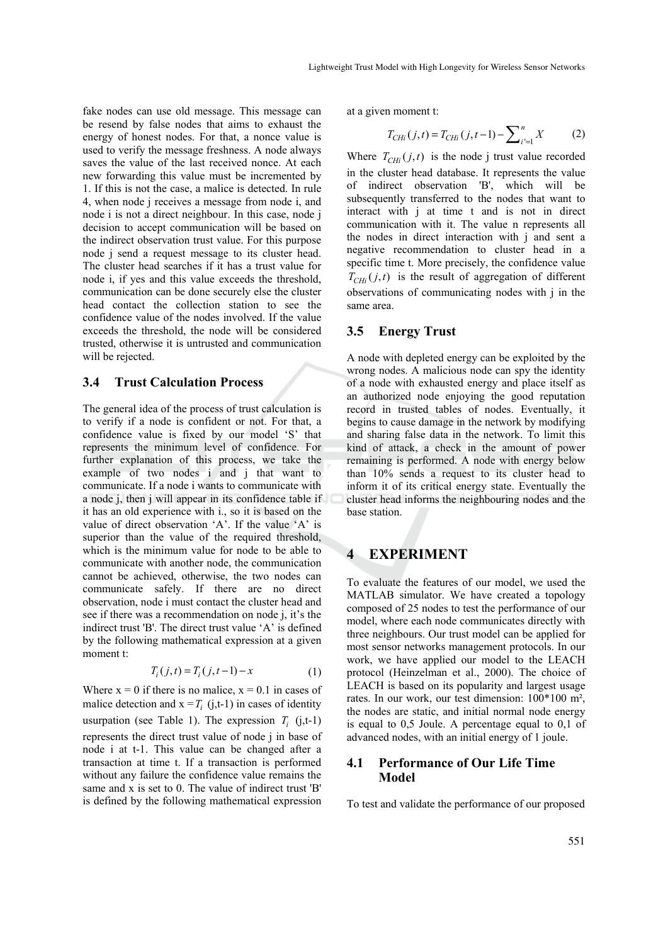fake nodes can use old message. This message can be resend by false nodes that aims to exhaust the energy of honest nodes. For that, a nonce value is used to verify the message freshness. A node always saves the value of the last received nonce. At each new forwarding this value must be incremented by 1. If this is not the case, a malice is detected. In rule 4, when node j receives a message from node i, and node i is not a direct neighbour. In this case, node j decision to accept communication will be based on the indirect observation trust value. For this purpose node j send a request message to its cluster head. The cluster head searches if it has a trust value for node i, if yes and this value exceeds the threshold, communication can be done securely else the cluster head contact the collection station to see the confidence value of the nodes involved. If the value exceeds the threshold, the node will be considered trusted, otherwise it is untrusted and communication will be rejected.

# **3.4 Trust Calculation Process**

The general idea of the process of trust calculation is to verify if a node is confident or not. For that, a confidence value is fixed by our model 'S' that represents the minimum level of confidence. For further explanation of this process, we take the example of two nodes i and j that want to communicate. If a node i wants to communicate with a node j, then j will appear in its confidence table if it has an old experience with i., so it is based on the value of direct observation 'A'. If the value 'A' is superior than the value of the required threshold, which is the minimum value for node to be able to communicate with another node, the communication cannot be achieved, otherwise, the two nodes can communicate safely. If there are no direct observation, node i must contact the cluster head and see if there was a recommendation on node j, it's the indirect trust 'B'. The direct trust value 'A' is defined by the following mathematical expression at a given moment t:

$$
T_i(j, t) = T_i(j, t-1) - x \tag{1}
$$

Where  $x = 0$  if there is no malice,  $x = 0.1$  in cases of malice detection and  $x = T_i$  (j,t-1) in cases of identity usurpation (see Table 1). The expression  $T_i$  (j,t-1) represents the direct trust value of node j in base of node i at t-1. This value can be changed after a transaction at time t. If a transaction is performed without any failure the confidence value remains the same and x is set to 0. The value of indirect trust 'B' is defined by the following mathematical expression at a given moment t:

$$
T_{CHi}(j,t) = T_{CHi}(j,t-1) - \sum_{i'=1}^{n} X
$$
 (2)

Where  $T_{CHi}(j, t)$  is the node j trust value recorded in the cluster head database. It represents the value of indirect observation 'B', which will be subsequently transferred to the nodes that want to interact with j at time t and is not in direct communication with it. The value n represents all the nodes in direct interaction with j and sent a negative recommendation to cluster head in a specific time t. More precisely, the confidence value  $T_{CHi}(j, t)$  is the result of aggregation of different observations of communicating nodes with j in the same area.

# **3.5 Energy Trust**

A node with depleted energy can be exploited by the wrong nodes. A malicious node can spy the identity of a node with exhausted energy and place itself as an authorized node enjoying the good reputation record in trusted tables of nodes. Eventually, it begins to cause damage in the network by modifying and sharing false data in the network. To limit this kind of attack, a check in the amount of power remaining is performed. A node with energy below than 10% sends a request to its cluster head to inform it of its critical energy state. Eventually the cluster head informs the neighbouring nodes and the base station.

# **4 EXPERIMENT**

To evaluate the features of our model, we used the MATLAB simulator. We have created a topology composed of 25 nodes to test the performance of our model, where each node communicates directly with three neighbours. Our trust model can be applied for most sensor networks management protocols. In our work, we have applied our model to the LEACH protocol (Heinzelman et al., 2000). The choice of LEACH is based on its popularity and largest usage rates. In our work, our test dimension: 100\*100 m², the nodes are static, and initial normal node energy is equal to 0,5 Joule. A percentage equal to 0,1 of advanced nodes, with an initial energy of 1 joule.

#### **4.1 Performance of Our Life Time Model**

To test and validate the performance of our proposed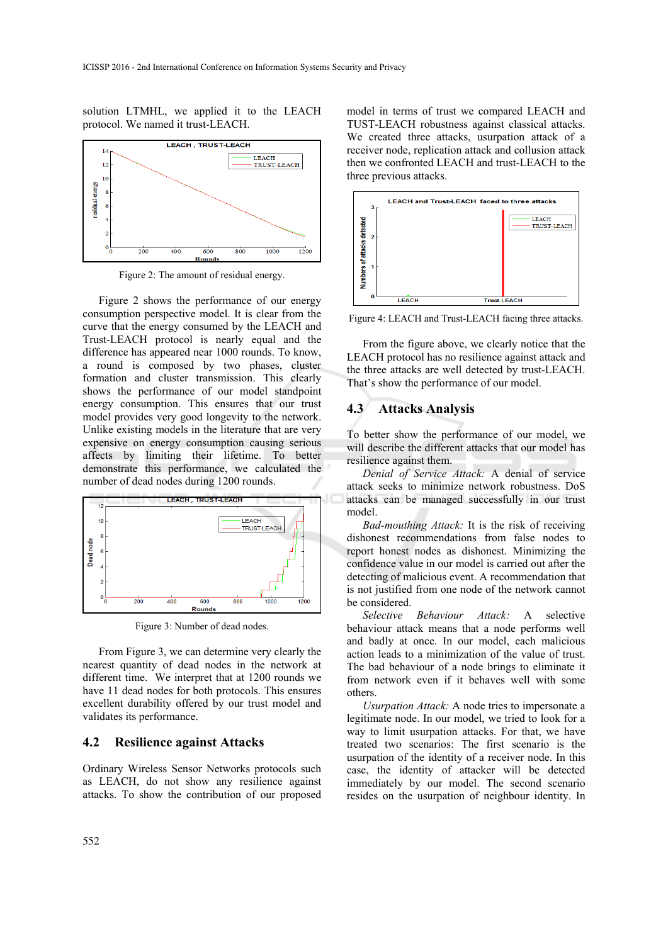solution LTMHL, we applied it to the LEACH protocol. We named it trust-LEACH.



Figure 2: The amount of residual energy.

Figure 2 shows the performance of our energy consumption perspective model. It is clear from the curve that the energy consumed by the LEACH and Trust-LEACH protocol is nearly equal and the difference has appeared near 1000 rounds. To know, a round is composed by two phases, cluster formation and cluster transmission. This clearly shows the performance of our model standpoint energy consumption. This ensures that our trust model provides very good longevity to the network. Unlike existing models in the literature that are very expensive on energy consumption causing serious affects by limiting their lifetime. To better demonstrate this performance, we calculated the number of dead nodes during 1200 rounds.



Figure 3: Number of dead nodes.

From Figure 3, we can determine very clearly the nearest quantity of dead nodes in the network at different time. We interpret that at 1200 rounds we have 11 dead nodes for both protocols. This ensures excellent durability offered by our trust model and validates its performance.

#### **4.2 Resilience against Attacks**

Ordinary Wireless Sensor Networks protocols such as LEACH, do not show any resilience against attacks. To show the contribution of our proposed

model in terms of trust we compared LEACH and TUST-LEACH robustness against classical attacks. We created three attacks, usurpation attack of a receiver node, replication attack and collusion attack then we confronted LEACH and trust-LEACH to the three previous attacks.



Figure 4: LEACH and Trust-LEACH facing three attacks.

From the figure above, we clearly notice that the LEACH protocol has no resilience against attack and the three attacks are well detected by trust-LEACH. That's show the performance of our model.

#### **4.3 Attacks Analysis**

To better show the performance of our model, we will describe the different attacks that our model has resilience against them.

*Denial of Service Attack:* A denial of service attack seeks to minimize network robustness. DoS attacks can be managed successfully in our trust model.

*Bad-mouthing Attack:* It is the risk of receiving dishonest recommendations from false nodes to report honest nodes as dishonest. Minimizing the confidence value in our model is carried out after the detecting of malicious event. A recommendation that is not justified from one node of the network cannot be considered.

*Selective Behaviour Attack:* A selective behaviour attack means that a node performs well and badly at once. In our model, each malicious action leads to a minimization of the value of trust. The bad behaviour of a node brings to eliminate it from network even if it behaves well with some others.

*Usurpation Attack:* A node tries to impersonate a legitimate node. In our model, we tried to look for a way to limit usurpation attacks. For that, we have treated two scenarios: The first scenario is the usurpation of the identity of a receiver node. In this case, the identity of attacker will be detected immediately by our model. The second scenario resides on the usurpation of neighbour identity. In